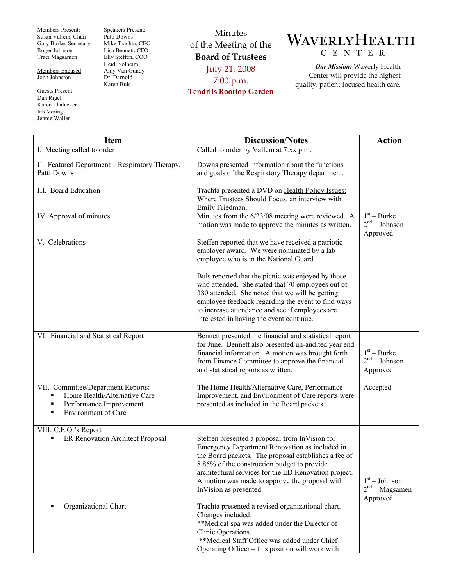Members Present: Susan Vallem, Chair Gary Burke, Secretary Roger Johnson Traci Magsamen

Members Excused: John Johnston

Guests Present: Dan Rigel Karen Thalacker Iris Vering Jennie Waller

Speakers Present: Patti Downs Mike Trachta, CEO Lisa Bennett, CFO Elly Steffen, COO Heidi Solheim Amy Van Gundy Dr. Darnold Karen Buls

Minutes of the Meeting of the **Board of Trustees**  July 21, 2008 7:00 p.m. **Tendrils Rooftop Garden** 



*Our Mission:* Waverly Health Center will provide the highest quality, patient-focused health care.

| <b>Item</b>                                                                                                                           | <b>Discussion/Notes</b>                                                                                                                                                                                                                                                                                                                                                                           | <b>Action</b>                                                        |
|---------------------------------------------------------------------------------------------------------------------------------------|---------------------------------------------------------------------------------------------------------------------------------------------------------------------------------------------------------------------------------------------------------------------------------------------------------------------------------------------------------------------------------------------------|----------------------------------------------------------------------|
| I. Meeting called to order                                                                                                            | Called to order by Vallem at 7:xx p.m.                                                                                                                                                                                                                                                                                                                                                            |                                                                      |
| II. Featured Department - Respiratory Therapy,<br>Patti Downs                                                                         | Downs presented information about the functions<br>and goals of the Respiratory Therapy department.                                                                                                                                                                                                                                                                                               |                                                                      |
| III. Board Education                                                                                                                  | Trachta presented a DVD on Health Policy Issues:<br>Where Trustees Should Focus, an interview with<br>Emily Friedman.                                                                                                                                                                                                                                                                             |                                                                      |
| IV. Approval of minutes                                                                                                               | Minutes from the 6/23/08 meeting were reviewed. A<br>motion was made to approve the minutes as written.                                                                                                                                                                                                                                                                                           | $\overline{1^{st}}$ – Burke<br>2 <sup>nd</sup> – Johnson<br>Approved |
| V. Celebrations                                                                                                                       | Steffen reported that we have received a patriotic<br>employer award. We were nominated by a lab<br>employee who is in the National Guard.                                                                                                                                                                                                                                                        |                                                                      |
|                                                                                                                                       | Buls reported that the picnic was enjoyed by those<br>who attended. She stated that 70 employees out of<br>380 attended. She noted that we will be getting<br>employee feedback regarding the event to find ways<br>to increase attendance and see if employees are<br>interested in having the event continue.                                                                                   |                                                                      |
| VI. Financial and Statistical Report                                                                                                  | Bennett presented the financial and statistical report<br>for June. Bennett also presented un-audited year end<br>financial information. A motion was brought forth<br>from Finance Committee to approve the financial<br>and statistical reports as written.                                                                                                                                     | $1st - Burke$<br>$2nd - Johnson$<br>Approved                         |
| VII. Committee/Department Reports:<br>Home Health/Alternative Care<br>Performance Improvement<br>٠<br><b>Environment of Care</b><br>П | The Home Health/Alternative Care, Performance<br>Improvement, and Environment of Care reports were<br>presented as included in the Board packets.                                                                                                                                                                                                                                                 | Accepted                                                             |
| VIII. C.E.O.'s Report<br>ER Renovation Architect Proposal<br>٠<br>Organizational Chart                                                | Steffen presented a proposal from InVision for<br>Emergency Department Renovation as included in<br>the Board packets. The proposal establishes a fee of<br>8.85% of the construction budget to provide<br>architectural services for the ED Renovation project.<br>A motion was made to approve the proposal with<br>InVision as presented.<br>Trachta presented a revised organizational chart. | $1st - Johnson$<br>$2nd - Magsamen$<br>Approved                      |
|                                                                                                                                       | Changes included:<br>**Medical spa was added under the Director of<br>Clinic Operations.<br>**Medical Staff Office was added under Chief<br>Operating Officer – this position will work with                                                                                                                                                                                                      |                                                                      |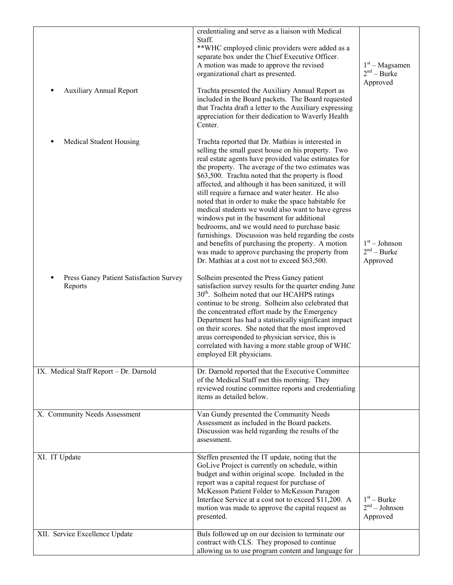| <b>Auxiliary Annual Report</b><br>٠                     | credentialing and serve as a liaison with Medical<br>Staff.<br>**WHC employed clinic providers were added as a<br>separate box under the Chief Executive Officer.<br>A motion was made to approve the revised<br>organizational chart as presented.<br>Trachta presented the Auxiliary Annual Report as<br>included in the Board packets. The Board requested<br>that Trachta draft a letter to the Auxiliary expressing<br>appreciation for their dedication to Waverly Health<br>Center.                                                                                                                                                                                                                                                                                                                               | $1st - Magsamen$<br>$2nd - Burke$<br>Approved |
|---------------------------------------------------------|--------------------------------------------------------------------------------------------------------------------------------------------------------------------------------------------------------------------------------------------------------------------------------------------------------------------------------------------------------------------------------------------------------------------------------------------------------------------------------------------------------------------------------------------------------------------------------------------------------------------------------------------------------------------------------------------------------------------------------------------------------------------------------------------------------------------------|-----------------------------------------------|
| <b>Medical Student Housing</b><br>٠                     | Trachta reported that Dr. Mathias is interested in<br>selling the small guest house on his property. Two<br>real estate agents have provided value estimates for<br>the property. The average of the two estimates was<br>\$63,500. Trachta noted that the property is flood<br>affected, and although it has been sanitized, it will<br>still require a furnace and water heater. He also<br>noted that in order to make the space habitable for<br>medical students we would also want to have egress<br>windows put in the basement for additional<br>bedrooms, and we would need to purchase basic<br>furnishings. Discussion was held regarding the costs<br>and benefits of purchasing the property. A motion<br>was made to approve purchasing the property from<br>Dr. Mathias at a cost not to exceed \$63,500. | $1st - Johnson$<br>$2nd - Burke$<br>Approved  |
| Press Ganey Patient Satisfaction Survey<br>٠<br>Reports | Solheim presented the Press Ganey patient<br>satisfaction survey results for the quarter ending June<br>30 <sup>th</sup> . Solheim noted that our HCAHPS ratings<br>continue to be strong. Solheim also celebrated that<br>the concentrated effort made by the Emergency<br>Department has had a statistically significant impact<br>on their scores. She noted that the most improved<br>areas corresponded to physician service, this is<br>correlated with having a more stable group of WHC<br>employed ER physicians.                                                                                                                                                                                                                                                                                               |                                               |
| IX. Medical Staff Report - Dr. Darnold                  | Dr. Darnold reported that the Executive Committee<br>of the Medical Staff met this morning. They<br>reviewed routine committee reports and credentialing<br>items as detailed below.                                                                                                                                                                                                                                                                                                                                                                                                                                                                                                                                                                                                                                     |                                               |
| X. Community Needs Assessment                           | Van Gundy presented the Community Needs<br>Assessment as included in the Board packets.<br>Discussion was held regarding the results of the<br>assessment.                                                                                                                                                                                                                                                                                                                                                                                                                                                                                                                                                                                                                                                               |                                               |
| XI. IT Update                                           | Steffen presented the IT update, noting that the<br>GoLive Project is currently on schedule, within<br>budget and within original scope. Included in the<br>report was a capital request for purchase of<br>McKesson Patient Folder to McKesson Paragon<br>Interface Service at a cost not to exceed \$11,200. A<br>motion was made to approve the capital request as<br>presented.                                                                                                                                                                                                                                                                                                                                                                                                                                      | $1st - Burke$<br>$2nd - Johnson$<br>Approved  |
| XII. Service Excellence Update                          | Buls followed up on our decision to terminate our<br>contract with CLS. They proposed to continue<br>allowing us to use program content and language for                                                                                                                                                                                                                                                                                                                                                                                                                                                                                                                                                                                                                                                                 |                                               |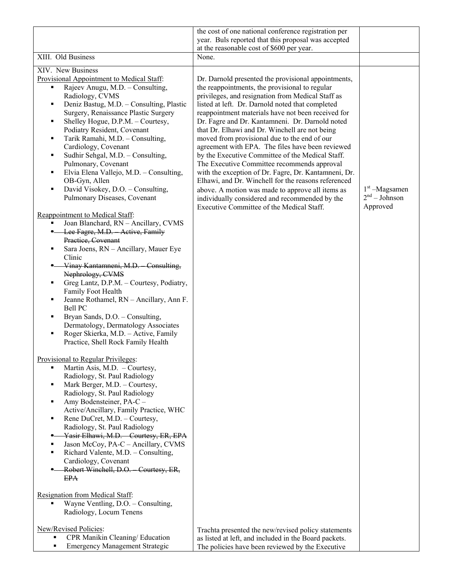|                                              |                                                                                                                                                                                                                                                                                                                                                                                                                                                                                                                                                                                                                         | the cost of one national conference registration per<br>year. Buls reported that this proposal was accepted                                                                                                                                                                                                                                                                                                                                                                                                                                                                                                                                                                                                                                                                                                                                        |                                                |
|----------------------------------------------|-------------------------------------------------------------------------------------------------------------------------------------------------------------------------------------------------------------------------------------------------------------------------------------------------------------------------------------------------------------------------------------------------------------------------------------------------------------------------------------------------------------------------------------------------------------------------------------------------------------------------|----------------------------------------------------------------------------------------------------------------------------------------------------------------------------------------------------------------------------------------------------------------------------------------------------------------------------------------------------------------------------------------------------------------------------------------------------------------------------------------------------------------------------------------------------------------------------------------------------------------------------------------------------------------------------------------------------------------------------------------------------------------------------------------------------------------------------------------------------|------------------------------------------------|
|                                              |                                                                                                                                                                                                                                                                                                                                                                                                                                                                                                                                                                                                                         | at the reasonable cost of \$600 per year.                                                                                                                                                                                                                                                                                                                                                                                                                                                                                                                                                                                                                                                                                                                                                                                                          |                                                |
|                                              | XIII. Old Business                                                                                                                                                                                                                                                                                                                                                                                                                                                                                                                                                                                                      | None.                                                                                                                                                                                                                                                                                                                                                                                                                                                                                                                                                                                                                                                                                                                                                                                                                                              |                                                |
|                                              | XIV. New Business                                                                                                                                                                                                                                                                                                                                                                                                                                                                                                                                                                                                       |                                                                                                                                                                                                                                                                                                                                                                                                                                                                                                                                                                                                                                                                                                                                                                                                                                                    |                                                |
| ٠<br>٠<br>٠<br>$\blacksquare$<br>٠<br>٠<br>٠ | Provisional Appointment to Medical Staff:<br>Rajeev Anugu, M.D. - Consulting,<br>Radiology, CVMS<br>Deniz Bastug, M.D. - Consulting, Plastic<br>Surgery, Renaissance Plastic Surgery<br>Shelley Hogue, D.P.M. - Courtesy,<br>Podiatry Resident, Covenant<br>Tarik Ramahi, M.D. - Consulting,<br>Cardiology, Covenant<br>Sudhir Sehgal, M.D. - Consulting,<br>Pulmonary, Covenant<br>Elvia Elena Vallejo, M.D. - Consulting,<br>OB-Gyn, Allen<br>David Visokey, D.O. - Consulting,<br>Pulmonary Diseases, Covenant<br>Reappointment to Medical Staff:                                                                    | Dr. Darnold presented the provisional appointments,<br>the reappointments, the provisional to regular<br>privileges, and resignation from Medical Staff as<br>listed at left. Dr. Darnold noted that completed<br>reappointment materials have not been received for<br>Dr. Fagre and Dr. Kantamneni. Dr. Darnold noted<br>that Dr. Elhawi and Dr. Winchell are not being<br>moved from provisional due to the end of our<br>agreement with EPA. The files have been reviewed<br>by the Executive Committee of the Medical Staff.<br>The Executive Committee recommends approval<br>with the exception of Dr. Fagre, Dr. Kantamneni, Dr.<br>Elhawi, and Dr. Winchell for the reasons referenced<br>above. A motion was made to approve all items as<br>individually considered and recommended by the<br>Executive Committee of the Medical Staff. | $1st$ –Magsamen<br>$2nd - Johnson$<br>Approved |
| ٠<br>٠<br>٠<br>٠<br>٠                        | Joan Blanchard, RN - Ancillary, CVMS<br><b>Elected Fagre, M.D. Active, Family</b><br>Practice, Covenant<br>Sara Joens, RN - Ancillary, Mauer Eye<br>Clinic<br>Vinay Kantamneni, M.D. Consulting,<br>Nephrology, CVMS<br>Greg Lantz, D.P.M. - Courtesy, Podiatry,<br>Family Foot Health<br>Jeanne Rothamel, RN - Ancillary, Ann F.<br><b>Bell PC</b><br>Bryan Sands, D.O. - Consulting,<br>Dermatology, Dermatology Associates<br>Roger Skierka, M.D. - Active, Family<br>Practice, Shell Rock Family Health                                                                                                             |                                                                                                                                                                                                                                                                                                                                                                                                                                                                                                                                                                                                                                                                                                                                                                                                                                                    |                                                |
| ٠<br>٠<br>٠<br>٠<br>٠<br>٠                   | Provisional to Regular Privileges:<br>Martin Asis, M.D. - Courtesy,<br>Radiology, St. Paul Radiology<br>Mark Berger, M.D. - Courtesy,<br>Radiology, St. Paul Radiology<br>Amy Bodensteiner, PA-C -<br>Active/Ancillary, Family Practice, WHC<br>Rene DuCret, M.D. - Courtesy,<br>Radiology, St. Paul Radiology<br>Yasir Elhawi, M.D. - Courtesy, ER, EPA<br>Jason McCoy, PA-C - Ancillary, CVMS<br>Richard Valente, M.D. - Consulting,<br>Cardiology, Covenant<br>Robert Winchell, D.O. Courtesy, ER,<br><b>EPA</b><br>Resignation from Medical Staff:<br>Wayne Ventling, D.O. - Consulting,<br>Radiology, Locum Tenens |                                                                                                                                                                                                                                                                                                                                                                                                                                                                                                                                                                                                                                                                                                                                                                                                                                                    |                                                |
|                                              | New/Revised Policies:<br>CPR Manikin Cleaning/ Education<br><b>Emergency Management Strategic</b>                                                                                                                                                                                                                                                                                                                                                                                                                                                                                                                       | Trachta presented the new/revised policy statements<br>as listed at left, and included in the Board packets.<br>The policies have been reviewed by the Executive                                                                                                                                                                                                                                                                                                                                                                                                                                                                                                                                                                                                                                                                                   |                                                |